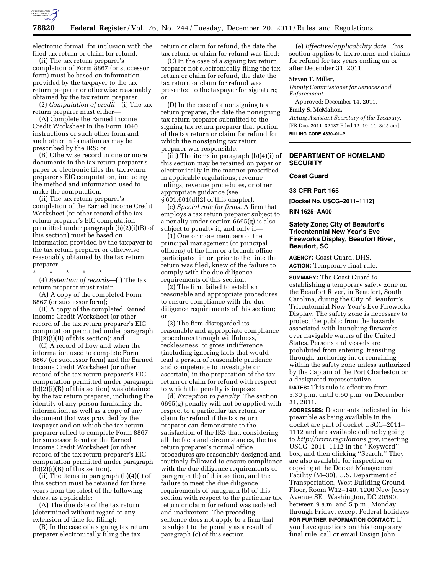

electronic format, for inclusion with the filed tax return or claim for refund.

(ii) The tax return preparer's completion of Form 8867 (or successor form) must be based on information provided by the taxpayer to the tax return preparer or otherwise reasonably obtained by the tax return preparer.

(2) *Computation of credit*—(i) The tax return preparer must either—

(A) Complete the Earned Income Credit Worksheet in the Form 1040 instructions or such other form and such other information as may be prescribed by the IRS; or

(B) Otherwise record in one or more documents in the tax return preparer's paper or electronic files the tax return preparer's EIC computation, including the method and information used to make the computation.

(ii) The tax return preparer's completion of the Earned Income Credit Worksheet (or other record of the tax return preparer's EIC computation permitted under paragraph (b)(2)(i)(B) of this section) must be based on information provided by the taxpayer to the tax return preparer or otherwise reasonably obtained by the tax return preparer.

\* \* \* \* \*

(4) *Retention of records*—(i) The tax return preparer must retain—

(A) A copy of the completed Form 8867 (or successor form);

(B) A copy of the completed Earned Income Credit Worksheet (or other record of the tax return preparer's EIC computation permitted under paragraph (b)(2)(i)(B) of this section); and

(C) A record of how and when the information used to complete Form 8867 (or successor form) and the Earned Income Credit Worksheet (or other record of the tax return preparer's EIC computation permitted under paragraph (b)(2)(i)(B) of this section) was obtained by the tax return preparer, including the identity of any person furnishing the information, as well as a copy of any document that was provided by the taxpayer and on which the tax return preparer relied to complete Form 8867 (or successor form) or the Earned Income Credit Worksheet (or other record of the tax return preparer's EIC computation permitted under paragraph  $(b)(2)(i)(B)$  of this section).

(ii) The items in paragraph (b)(4)(i) of this section must be retained for three years from the latest of the following dates, as applicable:

(A) The due date of the tax return (determined without regard to any extension of time for filing);

(B) In the case of a signing tax return preparer electronically filing the tax

return or claim for refund, the date the tax return or claim for refund was filed;

(C) In the case of a signing tax return preparer not electronically filing the tax return or claim for refund, the date the tax return or claim for refund was presented to the taxpayer for signature; or

(D) In the case of a nonsigning tax return preparer, the date the nonsigning tax return preparer submitted to the signing tax return preparer that portion of the tax return or claim for refund for which the nonsigning tax return preparer was responsible.

(iii) The items in paragraph (b)(4)(i) of this section may be retained on paper or electronically in the manner prescribed in applicable regulations, revenue rulings, revenue procedures, or other appropriate guidance (see § 601.601(d)(2) of this chapter).

(c) *Special rule for firms.* A firm that employs a tax return preparer subject to a penalty under section 6695(g) is also subject to penalty if, and only if—

(1) One or more members of the principal management (or principal officers) of the firm or a branch office participated in or, prior to the time the return was filed, knew of the failure to comply with the due diligence requirements of this section;

(2) The firm failed to establish reasonable and appropriate procedures to ensure compliance with the due diligence requirements of this section; or

(3) The firm disregarded its reasonable and appropriate compliance procedures through willfulness, recklessness, or gross indifference (including ignoring facts that would lead a person of reasonable prudence and competence to investigate or ascertain) in the preparation of the tax return or claim for refund with respect to which the penalty is imposed.

(d) *Exception to penalty.* The section 6695(g) penalty will not be applied with respect to a particular tax return or claim for refund if the tax return preparer can demonstrate to the satisfaction of the IRS that, considering all the facts and circumstances, the tax return preparer's normal office procedures are reasonably designed and routinely followed to ensure compliance with the due diligence requirements of paragraph (b) of this section, and the failure to meet the due diligence requirements of paragraph (b) of this section with respect to the particular tax return or claim for refund was isolated and inadvertent. The preceding sentence does not apply to a firm that is subject to the penalty as a result of paragraph (c) of this section.

(e) *Effective/applicability date.* This section applies to tax returns and claims for refund for tax years ending on or after December 31, 2011.

## **Steven T. Miller,**

*Deputy Commissioner for Services and Enforcement.* 

Approved: December 14, 2011.

# **Emily S. McMahon,**

*Acting Assistant Secretary of the Treasury.*  [FR Doc. 2011–32487 Filed 12–19–11; 8:45 am] **BILLING CODE 4830–01–P** 

**DEPARTMENT OF HOMELAND SECURITY** 

## **Coast Guard**

**33 CFR Part 165** 

**[Docket No. USCG–2011–1112]** 

**RIN 1625–AA00** 

### **Safety Zone; City of Beaufort's Tricentennial New Year's Eve Fireworks Display, Beaufort River, Beaufort, SC**

**AGENCY:** Coast Guard, DHS. **ACTION:** Temporary final rule.

**SUMMARY:** The Coast Guard is establishing a temporary safety zone on the Beaufort River, in Beaufort, South Carolina, during the City of Beaufort's Tricentennial New Year's Eve Fireworks Display. The safety zone is necessary to protect the public from the hazards associated with launching fireworks over navigable waters of the United States. Persons and vessels are prohibited from entering, transiting through, anchoring in, or remaining within the safety zone unless authorized by the Captain of the Port Charleston or a designated representative. **DATES:** This rule is effective from

5:30 p.m. until 6:50 p.m. on December 31, 2011.

**ADDRESSES:** Documents indicated in this preamble as being available in the docket are part of docket USCG–2011– 1112 and are available online by going to *[http://www.regulations.gov,](http://www.regulations.gov)* inserting USCG–2011–1112 in the ''Keyword'' box, and then clicking ''Search.'' They are also available for inspection or copying at the Docket Management Facility (M–30), U.S. Department of Transportation, West Building Ground Floor, Room W12–140, 1200 New Jersey Avenue SE., Washington, DC 20590, between 9 a.m. and 5 p.m., Monday through Friday, except Federal holidays. **FOR FURTHER INFORMATION CONTACT:** If

you have questions on this temporary final rule, call or email Ensign John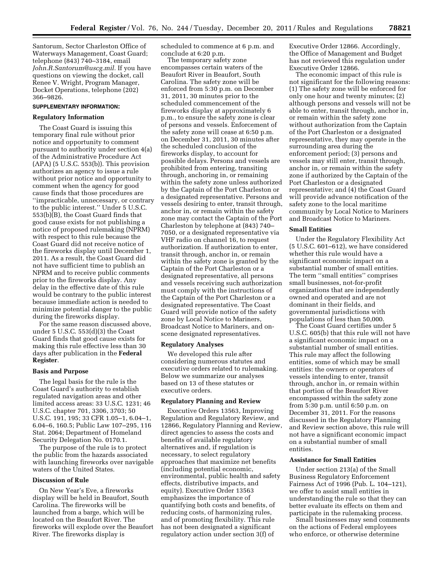Santorum, Sector Charleston Office of Waterways Management, Coast Guard; telephone (843) 740–3184, email *[John.R.Santorum@uscg.mil.](mailto:John.R.Santorum@uscg.mil)* If you have questions on viewing the docket, call Renee V. Wright, Program Manager, Docket Operations, telephone (202) 366–9826.

### **SUPPLEMENTARY INFORMATION:**

### **Regulatory Information**

The Coast Guard is issuing this temporary final rule without prior notice and opportunity to comment pursuant to authority under section 4(a) of the Administrative Procedure Act (APA) (5 U.S.C. 553(b)). This provision authorizes an agency to issue a rule without prior notice and opportunity to comment when the agency for good cause finds that those procedures are ''impracticable, unnecessary, or contrary to the public interest.'' Under 5 U.S.C.  $553(b)$ <sup>[B]</sup>, the Coast Guard finds that good cause exists for not publishing a notice of proposed rulemaking (NPRM) with respect to this rule because the Coast Guard did not receive notice of the fireworks display until December 1, 2011. As a result, the Coast Guard did not have sufficient time to publish an NPRM and to receive public comments prior to the fireworks display. Any delay in the effective date of this rule would be contrary to the public interest because immediate action is needed to minimize potential danger to the public during the fireworks display.

For the same reason discussed above, under 5 U.S.C. 553(d)(3) the Coast Guard finds that good cause exists for making this rule effective less than 30 days after publication in the **Federal Register**.

### **Basis and Purpose**

The legal basis for the rule is the Coast Guard's authority to establish regulated navigation areas and other limited access areas: 33 U.S.C. 1231; 46 U.S.C. chapter 701, 3306, 3703; 50 U.S.C. 191, 195; 33 CFR 1.05–1, 6.04–1, 6.04–6, 160.5; Public Law 107–295, 116 Stat. 2064; Department of Homeland Security Delegation No. 0170.1.

The purpose of the rule is to protect the public from the hazards associated with launching fireworks over navigable waters of the United States.

## **Discussion of Rule**

On New Year's Eve, a fireworks display will be held in Beaufort, South Carolina. The fireworks will be launched from a barge, which will be located on the Beaufort River. The fireworks will explode over the Beaufort River. The fireworks display is

scheduled to commence at 6 p.m. and conclude at 6:20 p.m.

The temporary safety zone encompasses certain waters of the Beaufort River in Beaufort, South Carolina. The safety zone will be enforced from 5:30 p.m. on December 31, 2011, 30 minutes prior to the scheduled commencement of the fireworks display at approximately 6 p.m., to ensure the safety zone is clear of persons and vessels. Enforcement of the safety zone will cease at 6:50 p.m. on December 31, 2011, 30 minutes after the scheduled conclusion of the fireworks display, to account for possible delays. Persons and vessels are prohibited from entering, transiting through, anchoring in, or remaining within the safety zone unless authorized by the Captain of the Port Charleston or a designated representative. Persons and vessels desiring to enter, transit through, anchor in, or remain within the safety zone may contact the Captain of the Port Charleston by telephone at (843) 740– 7050, or a designated representative via VHF radio on channel 16, to request authorization. If authorization to enter, transit through, anchor in, or remain within the safety zone is granted by the Captain of the Port Charleston or a designated representative, all persons and vessels receiving such authorization must comply with the instructions of the Captain of the Port Charleston or a designated representative. The Coast Guard will provide notice of the safety zone by Local Notice to Mariners, Broadcast Notice to Mariners, and onscene designated representatives.

### **Regulatory Analyses**

We developed this rule after considering numerous statutes and executive orders related to rulemaking. Below we summarize our analyses based on 13 of these statutes or executive orders.

### **Regulatory Planning and Review**

Executive Orders 13563, Improving Regulation and Regulatory Review, and 12866, Regulatory Planning and Review, direct agencies to assess the costs and benefits of available regulatory alternatives and, if regulation is necessary, to select regulatory approaches that maximize net benefits (including potential economic, environmental, public health and safety effects, distributive impacts, and equity). Executive Order 13563 emphasizes the importance of quantifying both costs and benefits, of reducing costs, of harmonizing rules, and of promoting flexibility. This rule has not been designated a significant regulatory action under section 3(f) of

Executive Order 12866. Accordingly, the Office of Management and Budget has not reviewed this regulation under Executive Order 12866.

The economic impact of this rule is not significant for the following reasons: (1) The safety zone will be enforced for only one hour and twenty minutes; (2) although persons and vessels will not be able to enter, transit through, anchor in, or remain within the safety zone without authorization from the Captain of the Port Charleston or a designated representative, they may operate in the surrounding area during the enforcement period; (3) persons and vessels may still enter, transit through, anchor in, or remain within the safety zone if authorized by the Captain of the Port Charleston or a designated representative; and (4) the Coast Guard will provide advance notification of the safety zone to the local maritime community by Local Notice to Mariners and Broadcast Notice to Mariners.

#### **Small Entities**

Under the Regulatory Flexibility Act (5 U.S.C. 601–612), we have considered whether this rule would have a significant economic impact on a substantial number of small entities. The term ''small entities'' comprises small businesses, not-for-profit organizations that are independently owned and operated and are not dominant in their fields, and governmental jurisdictions with populations of less than 50,000.

The Coast Guard certifies under 5 U.S.C. 605(b) that this rule will not have a significant economic impact on a substantial number of small entities. This rule may affect the following entities, some of which may be small entities: the owners or operators of vessels intending to enter, transit through, anchor in, or remain within that portion of the Beaufort River encompassed within the safety zone from 5:30 p.m. until 6:50 p.m. on December 31, 2011. For the reasons discussed in the Regulatory Planning and Review section above, this rule will not have a significant economic impact on a substantial number of small entities.

#### **Assistance for Small Entities**

Under section 213(a) of the Small Business Regulatory Enforcement Fairness Act of 1996 (Pub. L. 104–121), we offer to assist small entities in understanding the rule so that they can better evaluate its effects on them and participate in the rulemaking process.

Small businesses may send comments on the actions of Federal employees who enforce, or otherwise determine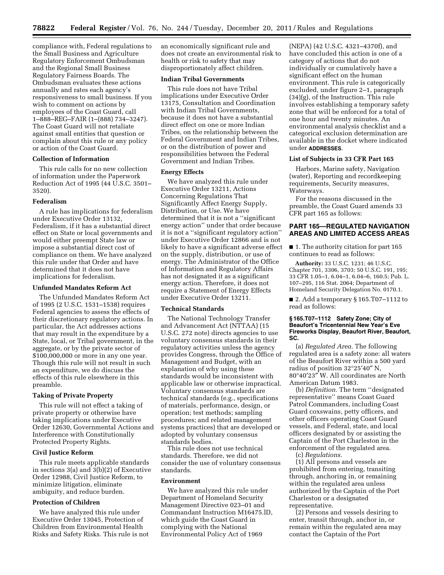compliance with, Federal regulations to the Small Business and Agriculture Regulatory Enforcement Ombudsman and the Regional Small Business Regulatory Fairness Boards. The Ombudsman evaluates these actions annually and rates each agency's responsiveness to small business. If you wish to comment on actions by employees of the Coast Guard, call 1–888–REG–FAIR (1–(888) 734–3247). The Coast Guard will not retaliate against small entities that question or complain about this rule or any policy or action of the Coast Guard.

## **Collection of Information**

This rule calls for no new collection of information under the Paperwork Reduction Act of 1995 (44 U.S.C. 3501– 3520).

### **Federalism**

A rule has implications for federalism under Executive Order 13132, Federalism, if it has a substantial direct effect on State or local governments and would either preempt State law or impose a substantial direct cost of compliance on them. We have analyzed this rule under that Order and have determined that it does not have implications for federalism.

### **Unfunded Mandates Reform Act**

The Unfunded Mandates Reform Act of 1995 (2 U.S.C. 1531–1538) requires Federal agencies to assess the effects of their discretionary regulatory actions. In particular, the Act addresses actions that may result in the expenditure by a State, local, or Tribal government, in the aggregate, or by the private sector of \$100,000,000 or more in any one year. Though this rule will not result in such an expenditure, we do discuss the effects of this rule elsewhere in this preamble.

### **Taking of Private Property**

This rule will not effect a taking of private property or otherwise have taking implications under Executive Order 12630, Governmental Actions and Interference with Constitutionally Protected Property Rights.

#### **Civil Justice Reform**

This rule meets applicable standards in sections 3(a) and 3(b)(2) of Executive Order 12988, Civil Justice Reform, to minimize litigation, eliminate ambiguity, and reduce burden.

### **Protection of Children**

We have analyzed this rule under Executive Order 13045, Protection of Children from Environmental Health Risks and Safety Risks. This rule is not an economically significant rule and does not create an environmental risk to health or risk to safety that may disproportionately affect children.

## **Indian Tribal Governments**

This rule does not have Tribal implications under Executive Order 13175, Consultation and Coordination with Indian Tribal Governments, because it does not have a substantial direct effect on one or more Indian Tribes, on the relationship between the Federal Government and Indian Tribes, or on the distribution of power and responsibilities between the Federal Government and Indian Tribes.

### **Energy Effects**

We have analyzed this rule under Executive Order 13211, Actions Concerning Regulations That Significantly Affect Energy Supply, Distribution, or Use. We have determined that it is not a ''significant energy action'' under that order because it is not a ''significant regulatory action'' under Executive Order 12866 and is not likely to have a significant adverse effect on the supply, distribution, or use of energy. The Administrator of the Office of Information and Regulatory Affairs has not designated it as a significant energy action. Therefore, it does not require a Statement of Energy Effects under Executive Order 13211.

#### **Technical Standards**

The National Technology Transfer and Advancement Act (NTTAA) (15 U.S.C. 272 note) directs agencies to use voluntary consensus standards in their regulatory activities unless the agency provides Congress, through the Office of Management and Budget, with an explanation of why using these standards would be inconsistent with applicable law or otherwise impractical. Voluntary consensus standards are technical standards (e.g., specifications of materials, performance, design, or operation; test methods; sampling procedures; and related management systems practices) that are developed or adopted by voluntary consensus standards bodies.

This rule does not use technical standards. Therefore, we did not consider the use of voluntary consensus standards.

### **Environment**

We have analyzed this rule under Department of Homeland Security Management Directive 023–01 and Commandant Instruction M16475.lD, which guide the Coast Guard in complying with the National Environmental Policy Act of 1969

(NEPA) (42 U.S.C. 4321–4370f), and have concluded this action is one of a category of actions that do not individually or cumulatively have a significant effect on the human environment. This rule is categorically excluded, under figure 2–1, paragraph (34)(g), of the Instruction. This rule involves establishing a temporary safety zone that will be enforced for a total of one hour and twenty minutes. An environmental analysis checklist and a categorical exclusion determination are available in the docket where indicated under **ADDRESSES**.

### **List of Subjects in 33 CFR Part 165**

Harbors, Marine safety, Navigation (water), Reporting and recordkeeping requirements, Security measures, Waterways.

For the reasons discussed in the preamble, the Coast Guard amends 33 CFR part 165 as follows:

## **PART 165—REGULATED NAVIGATION AREAS AND LIMITED ACCESS AREAS**

■ 1. The authority citation for part 165 continues to read as follows:

**Authority:** 33 U.S.C. 1231; 46 U.S.C. Chapter 701, 3306, 3703; 50 U.S.C. 191, 195; 33 CFR 1.05–1, 6.04–1, 6.04–6, 160.5; Pub. L. 107–295, 116 Stat. 2064; Department of Homeland Security Delegation No. 0170.1.

■ 2. Add a temporary § 165.T07-1112 to read as follows:

#### **§ 165.T07–1112 Safety Zone; City of Beaufort's Tricentennial New Year's Eve Fireworks Display, Beaufort River, Beaufort, SC.**

(a) *Regulated Area.* The following regulated area is a safety zone: all waters of the Beaufort River within a 500 yard radius of position 32°25′40″ N, 80°40′23″ W. All coordinates are North American Datum 1983.

(b) *Definition.* The term ''designated representative'' means Coast Guard Patrol Commanders, including Coast Guard coxswains, petty officers, and other officers operating Coast Guard vessels, and Federal, state, and local officers designated by or assisting the Captain of the Port Charleston in the enforcement of the regulated area.

(c) *Regulations.* 

(1) All persons and vessels are prohibited from entering, transiting through, anchoring in, or remaining within the regulated area unless authorized by the Captain of the Port Charleston or a designated representative.

(2) Persons and vessels desiring to enter, transit through, anchor in, or remain within the regulated area may contact the Captain of the Port